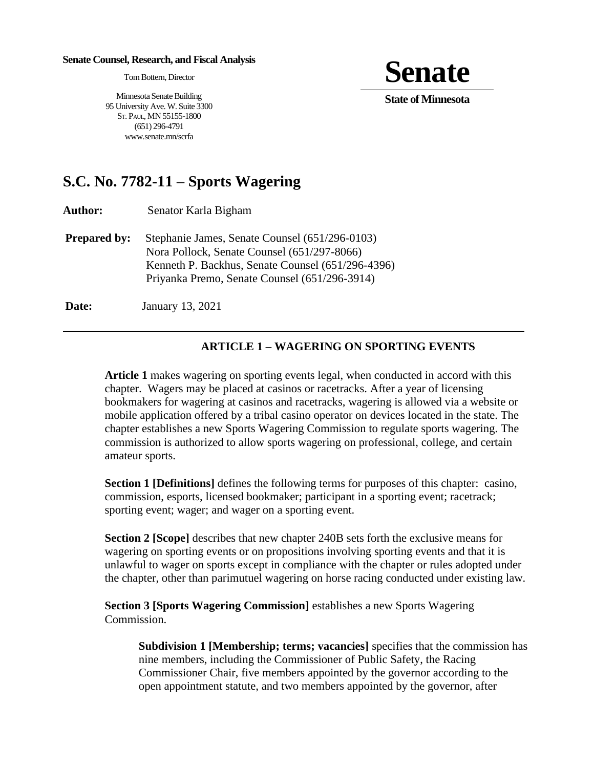#### **Senate Counsel, Research, and Fiscal Analysis**

TomBottern, Director

**Senate** 

**State of Minnesota** 

Minnesota Senate Building 95 University Ave. W. Suite 3300 ST. PAUL, MN 55155-1800 (651) 296-4791 www.senate.mn/scrfa

# **S.C. No. 7782-11 – Sports Wagering**

**Author:** Senator Karla Bigham

**Prepared by:** Stephanie James, Senate Counsel (651/296-0103) Nora Pollock, Senate Counsel (651/297-8066) Kenneth P. Backhus, Senate Counsel (651/296-4396) Priyanka Premo, Senate Counsel (651/296-3914)

**Date: January 13, 2021** 

## **ARTICLE 1 – WAGERING ON SPORTING EVENTS**

**Article 1** makes wagering on sporting events legal, when conducted in accord with this chapter. Wagers may be placed at casinos or racetracks. After a year of licensing bookmakers for wagering at casinos and racetracks, wagering is allowed via a website or mobile application offered by a tribal casino operator on devices located in the state. The chapter establishes a new Sports Wagering Commission to regulate sports wagering. The commission is authorized to allow sports wagering on professional, college, and certain amateur sports.

**Section 1 [Definitions]** defines the following terms for purposes of this chapter: casino, commission, esports, licensed bookmaker; participant in a sporting event; racetrack; sporting event; wager; and wager on a sporting event.

**Section 2 [Scope]** describes that new chapter 240B sets forth the exclusive means for wagering on sporting events or on propositions involving sporting events and that it is unlawful to wager on sports except in compliance with the chapter or rules adopted under the chapter, other than parimutuel wagering on horse racing conducted under existing law.

**Section 3 [Sports Wagering Commission]** establishes a new Sports Wagering Commission.

**Subdivision 1 [Membership; terms; vacancies]** specifies that the commission has nine members, including the Commissioner of Public Safety, the Racing Commissioner Chair, five members appointed by the governor according to the open appointment statute, and two members appointed by the governor, after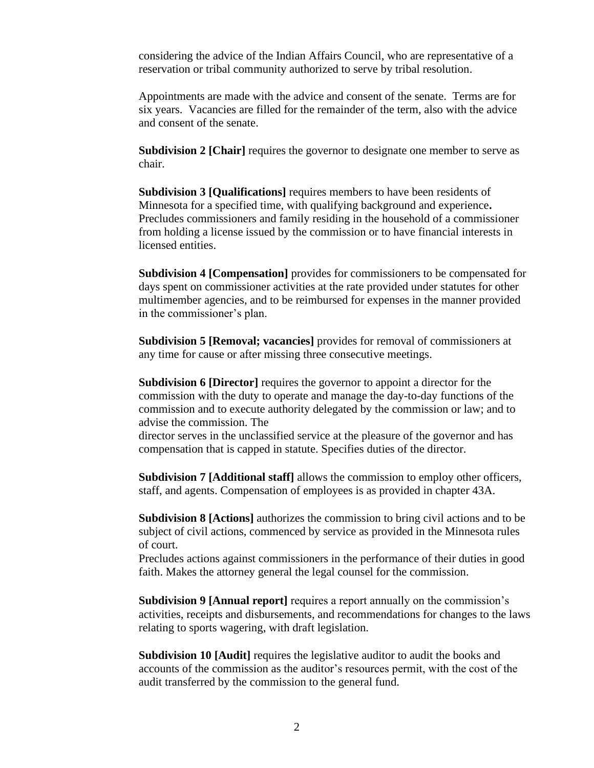considering the advice of the Indian Affairs Council, who are representative of a reservation or tribal community authorized to serve by tribal resolution.

Appointments are made with the advice and consent of the senate. Terms are for six years. Vacancies are filled for the remainder of the term, also with the advice and consent of the senate.

**Subdivision 2 [Chair]** requires the governor to designate one member to serve as chair.

**Subdivision 3 [Qualifications]** requires members to have been residents of Minnesota for a specified time, with qualifying background and experience**.**  Precludes commissioners and family residing in the household of a commissioner from holding a license issued by the commission or to have financial interests in licensed entities.

**Subdivision 4 [Compensation]** provides for commissioners to be compensated for days spent on commissioner activities at the rate provided under statutes for other multimember agencies, and to be reimbursed for expenses in the manner provided in the commissioner's plan.

**Subdivision 5 [Removal; vacancies]** provides for removal of commissioners at any time for cause or after missing three consecutive meetings.

**Subdivision 6 [Director]** requires the governor to appoint a director for the commission with the duty to operate and manage the day-to-day functions of the commission and to execute authority delegated by the commission or law; and to advise the commission. The

director serves in the unclassified service at the pleasure of the governor and has compensation that is capped in statute. Specifies duties of the director.

**Subdivision 7 [Additional staff]** allows the commission to employ other officers, staff, and agents. Compensation of employees is as provided in chapter 43A.

**Subdivision 8 [Actions]** authorizes the commission to bring civil actions and to be subject of civil actions, commenced by service as provided in the Minnesota rules of court.

Precludes actions against commissioners in the performance of their duties in good faith. Makes the attorney general the legal counsel for the commission.

**Subdivision 9 [Annual report]** requires a report annually on the commission's activities, receipts and disbursements, and recommendations for changes to the laws relating to sports wagering, with draft legislation.

**Subdivision 10 [Audit]** requires the legislative auditor to audit the books and accounts of the commission as the auditor's resources permit, with the cost of the audit transferred by the commission to the general fund.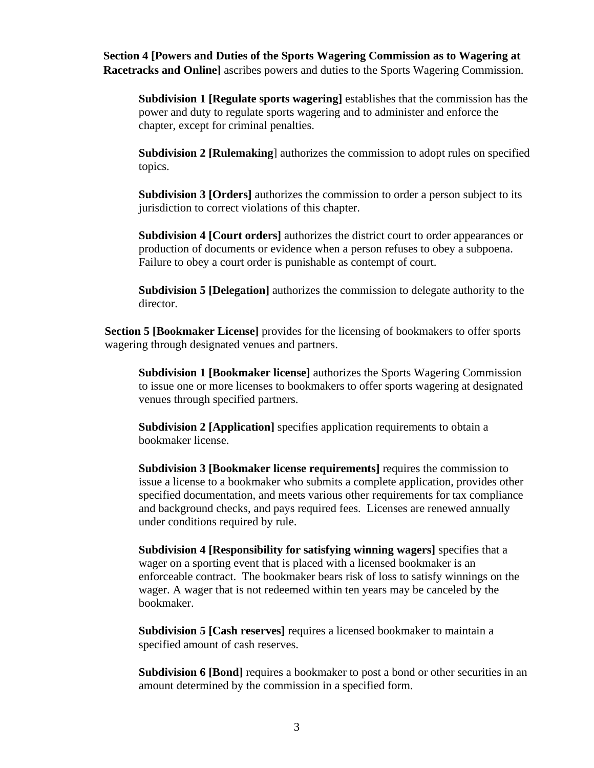**Section 4 [Powers and Duties of the Sports Wagering Commission as to Wagering at Racetracks and Online]** ascribes powers and duties to the Sports Wagering Commission.

**Subdivision 1 [Regulate sports wagering]** establishes that the commission has the power and duty to regulate sports wagering and to administer and enforce the chapter, except for criminal penalties.

**Subdivision 2 [Rulemaking**] authorizes the commission to adopt rules on specified topics.

**Subdivision 3 [Orders]** authorizes the commission to order a person subject to its jurisdiction to correct violations of this chapter.

**Subdivision 4 [Court orders]** authorizes the district court to order appearances or production of documents or evidence when a person refuses to obey a subpoena. Failure to obey a court order is punishable as contempt of court.

**Subdivision 5 [Delegation]** authorizes the commission to delegate authority to the director.

**Section 5 [Bookmaker License]** provides for the licensing of bookmakers to offer sports wagering through designated venues and partners.

**Subdivision 1 [Bookmaker license]** authorizes the Sports Wagering Commission to issue one or more licenses to bookmakers to offer sports wagering at designated venues through specified partners.

**Subdivision 2 [Application]** specifies application requirements to obtain a bookmaker license.

**Subdivision 3 [Bookmaker license requirements]** requires the commission to issue a license to a bookmaker who submits a complete application, provides other specified documentation, and meets various other requirements for tax compliance and background checks, and pays required fees. Licenses are renewed annually under conditions required by rule.

**Subdivision 4 [Responsibility for satisfying winning wagers]** specifies that a wager on a sporting event that is placed with a licensed bookmaker is an enforceable contract. The bookmaker bears risk of loss to satisfy winnings on the wager. A wager that is not redeemed within ten years may be canceled by the bookmaker.

**Subdivision 5 [Cash reserves]** requires a licensed bookmaker to maintain a specified amount of cash reserves.

**Subdivision 6 [Bond]** requires a bookmaker to post a bond or other securities in an amount determined by the commission in a specified form.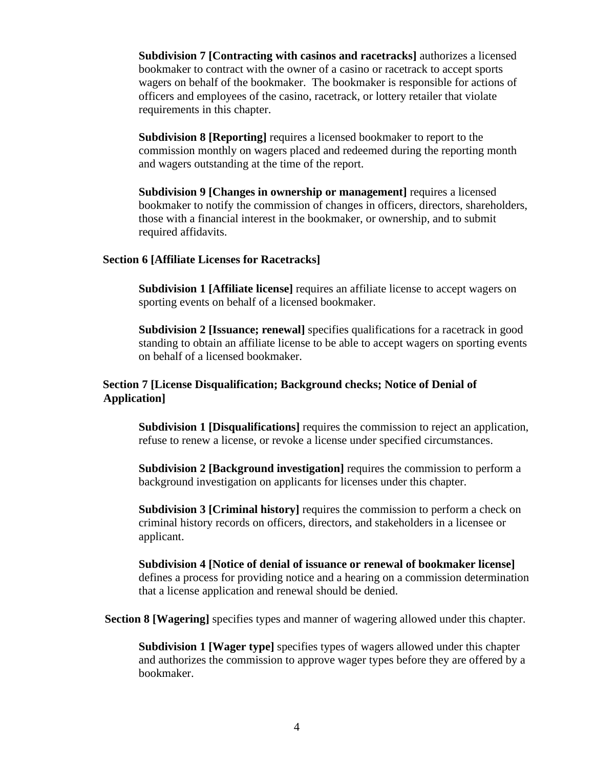**Subdivision 7 [Contracting with casinos and racetracks]** authorizes a licensed bookmaker to contract with the owner of a casino or racetrack to accept sports wagers on behalf of the bookmaker. The bookmaker is responsible for actions of officers and employees of the casino, racetrack, or lottery retailer that violate requirements in this chapter.

**Subdivision 8 [Reporting]** requires a licensed bookmaker to report to the commission monthly on wagers placed and redeemed during the reporting month and wagers outstanding at the time of the report.

**Subdivision 9 [Changes in ownership or management]** requires a licensed bookmaker to notify the commission of changes in officers, directors, shareholders, those with a financial interest in the bookmaker, or ownership, and to submit required affidavits.

#### **Section 6 [Affiliate Licenses for Racetracks]**

**Subdivision 1 [Affiliate license]** requires an affiliate license to accept wagers on sporting events on behalf of a licensed bookmaker.

**Subdivision 2 [Issuance; renewal]** specifies qualifications for a racetrack in good standing to obtain an affiliate license to be able to accept wagers on sporting events on behalf of a licensed bookmaker.

#### **Section 7 [License Disqualification; Background checks; Notice of Denial of Application]**

**Subdivision 1 [Disqualifications]** requires the commission to reject an application, refuse to renew a license, or revoke a license under specified circumstances.

**Subdivision 2 [Background investigation]** requires the commission to perform a background investigation on applicants for licenses under this chapter.

**Subdivision 3 [Criminal history]** requires the commission to perform a check on criminal history records on officers, directors, and stakeholders in a licensee or applicant.

**Subdivision 4 [Notice of denial of issuance or renewal of bookmaker license]** defines a process for providing notice and a hearing on a commission determination that a license application and renewal should be denied.

**Section 8 [Wagering]** specifies types and manner of wagering allowed under this chapter.

**Subdivision 1 [Wager type]** specifies types of wagers allowed under this chapter and authorizes the commission to approve wager types before they are offered by a bookmaker.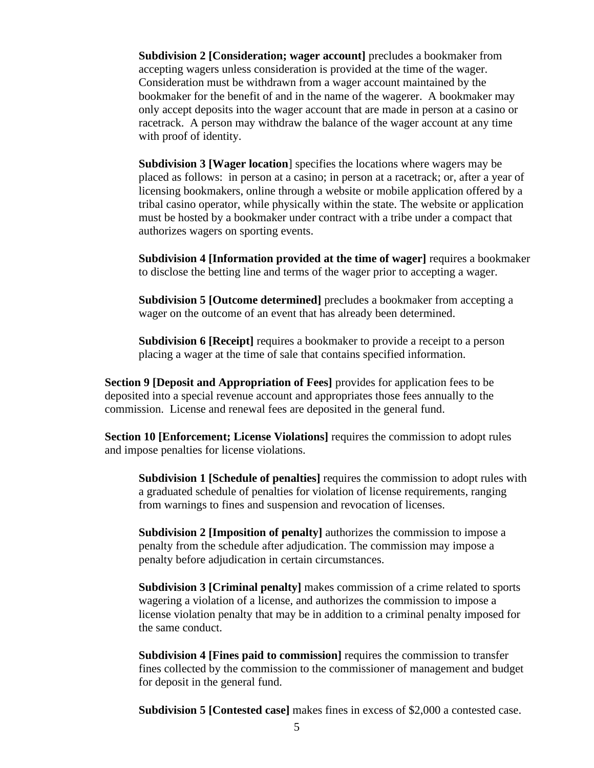**Subdivision 2 [Consideration; wager account]** precludes a bookmaker from accepting wagers unless consideration is provided at the time of the wager. Consideration must be withdrawn from a wager account maintained by the bookmaker for the benefit of and in the name of the wagerer. A bookmaker may only accept deposits into the wager account that are made in person at a casino or racetrack. A person may withdraw the balance of the wager account at any time with proof of identity.

**Subdivision 3 [Wager location**] specifies the locations where wagers may be placed as follows: in person at a casino; in person at a racetrack; or, after a year of licensing bookmakers, online through a website or mobile application offered by a tribal casino operator, while physically within the state. The website or application must be hosted by a bookmaker under contract with a tribe under a compact that authorizes wagers on sporting events.

**Subdivision 4 [Information provided at the time of wager]** requires a bookmaker to disclose the betting line and terms of the wager prior to accepting a wager.

**Subdivision 5 [Outcome determined]** precludes a bookmaker from accepting a wager on the outcome of an event that has already been determined.

**Subdivision 6 [Receipt]** requires a bookmaker to provide a receipt to a person placing a wager at the time of sale that contains specified information.

**Section 9 [Deposit and Appropriation of Fees]** provides for application fees to be deposited into a special revenue account and appropriates those fees annually to the commission. License and renewal fees are deposited in the general fund.

**Section 10 [Enforcement; License Violations]** requires the commission to adopt rules and impose penalties for license violations.

**Subdivision 1 [Schedule of penalties]** requires the commission to adopt rules with a graduated schedule of penalties for violation of license requirements, ranging from warnings to fines and suspension and revocation of licenses.

**Subdivision 2 [Imposition of penalty]** authorizes the commission to impose a penalty from the schedule after adjudication. The commission may impose a penalty before adjudication in certain circumstances.

**Subdivision 3 [Criminal penalty]** makes commission of a crime related to sports wagering a violation of a license, and authorizes the commission to impose a license violation penalty that may be in addition to a criminal penalty imposed for the same conduct.

**Subdivision 4 [Fines paid to commission]** requires the commission to transfer fines collected by the commission to the commissioner of management and budget for deposit in the general fund.

**Subdivision 5 [Contested case]** makes fines in excess of \$2,000 a contested case.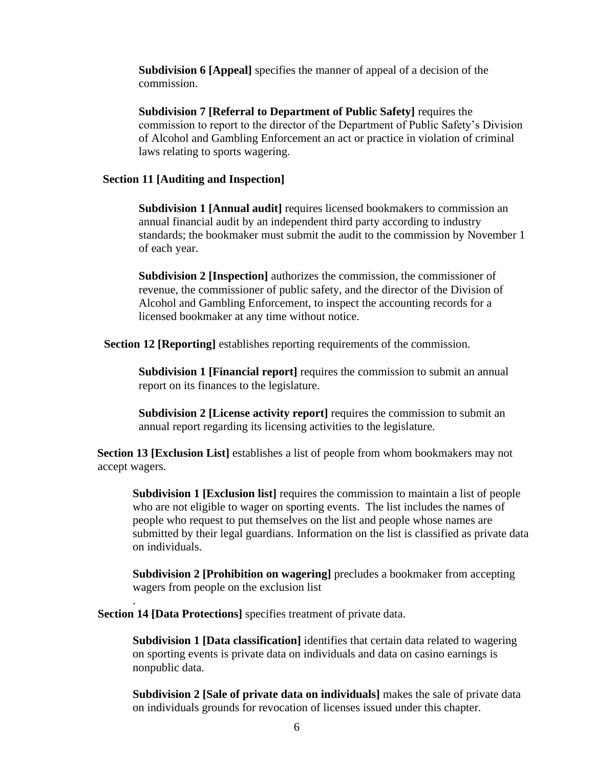**Subdivision 6 [Appeal]** specifies the manner of appeal of a decision of the commission.

**Subdivision 7 [Referral to Department of Public Safety]** requires the commission to report to the director of the Department of Public Safety's Division of Alcohol and Gambling Enforcement an act or practice in violation of criminal laws relating to sports wagering.

#### **Section 11 [Auditing and Inspection]**

**Subdivision 1 [Annual audit]** requires licensed bookmakers to commission an annual financial audit by an independent third party according to industry standards; the bookmaker must submit the audit to the commission by November 1 of each year.

**Subdivision 2 [Inspection]** authorizes the commission, the commissioner of revenue, the commissioner of public safety, and the director of the Division of Alcohol and Gambling Enforcement, to inspect the accounting records for a licensed bookmaker at any time without notice.

**Section 12 [Reporting]** establishes reporting requirements of the commission.

**Subdivision 1 [Financial report]** requires the commission to submit an annual report on its finances to the legislature.

**Subdivision 2 [License activity report]** requires the commission to submit an annual report regarding its licensing activities to the legislature.

**Section 13 [Exclusion List]** establishes a list of people from whom bookmakers may not accept wagers.

**Subdivision 1 [Exclusion list]** requires the commission to maintain a list of people who are not eligible to wager on sporting events. The list includes the names of people who request to put themselves on the list and people whose names are submitted by their legal guardians. Information on the list is classified as private data on individuals.

**Subdivision 2 [Prohibition on wagering]** precludes a bookmaker from accepting wagers from people on the exclusion list

**Section 14 [Data Protections]** specifies treatment of private data.

.

**Subdivision 1 [Data classification]** identifies that certain data related to wagering on sporting events is private data on individuals and data on casino earnings is nonpublic data.

**Subdivision 2 [Sale of private data on individuals]** makes the sale of private data on individuals grounds for revocation of licenses issued under this chapter.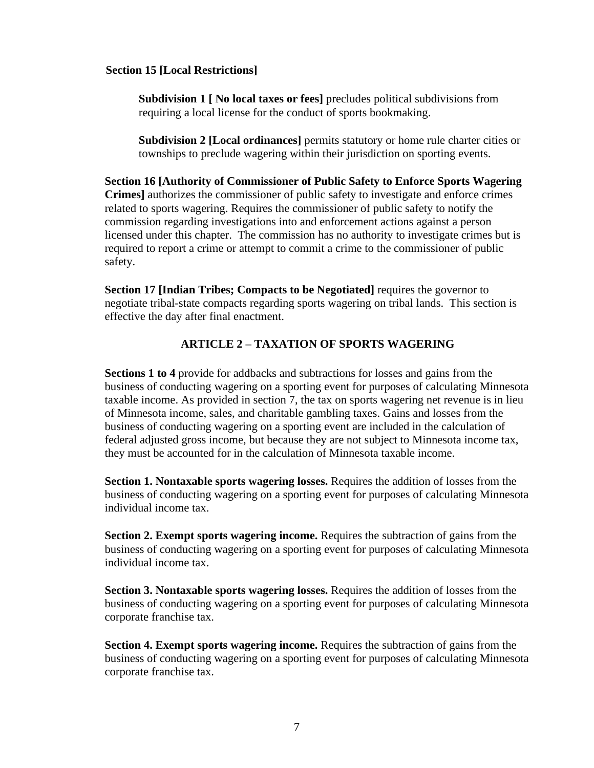#### **Section 15 [Local Restrictions]**

**Subdivision 1 [ No local taxes or fees]** precludes political subdivisions from requiring a local license for the conduct of sports bookmaking.

**Subdivision 2 [Local ordinances]** permits statutory or home rule charter cities or townships to preclude wagering within their jurisdiction on sporting events.

**Section 16 [Authority of Commissioner of Public Safety to Enforce Sports Wagering Crimes]** authorizes the commissioner of public safety to investigate and enforce crimes related to sports wagering. Requires the commissioner of public safety to notify the commission regarding investigations into and enforcement actions against a person licensed under this chapter. The commission has no authority to investigate crimes but is required to report a crime or attempt to commit a crime to the commissioner of public safety.

**Section 17 [Indian Tribes; Compacts to be Negotiated]** requires the governor to negotiate tribal-state compacts regarding sports wagering on tribal lands. This section is effective the day after final enactment.

#### **ARTICLE 2 – TAXATION OF SPORTS WAGERING**

**Sections 1 to 4** provide for addbacks and subtractions for losses and gains from the business of conducting wagering on a sporting event for purposes of calculating Minnesota taxable income. As provided in section 7, the tax on sports wagering net revenue is in lieu of Minnesota income, sales, and charitable gambling taxes. Gains and losses from the business of conducting wagering on a sporting event are included in the calculation of federal adjusted gross income, but because they are not subject to Minnesota income tax, they must be accounted for in the calculation of Minnesota taxable income.

**Section 1. Nontaxable sports wagering losses.** Requires the addition of losses from the business of conducting wagering on a sporting event for purposes of calculating Minnesota individual income tax.

**Section 2. Exempt sports wagering income.** Requires the subtraction of gains from the business of conducting wagering on a sporting event for purposes of calculating Minnesota individual income tax.

**Section 3. Nontaxable sports wagering losses.** Requires the addition of losses from the business of conducting wagering on a sporting event for purposes of calculating Minnesota corporate franchise tax.

**Section 4. Exempt sports wagering income.** Requires the subtraction of gains from the business of conducting wagering on a sporting event for purposes of calculating Minnesota corporate franchise tax.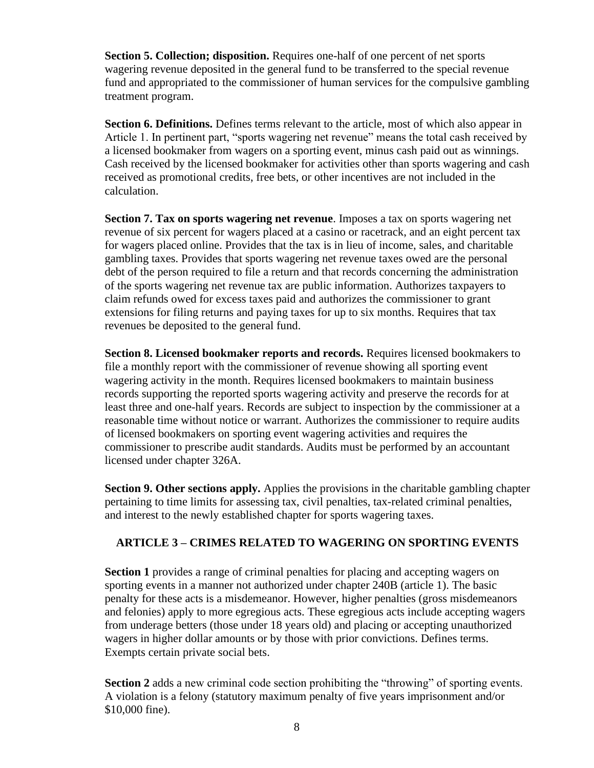**Section 5. Collection; disposition.** Requires one-half of one percent of net sports wagering revenue deposited in the general fund to be transferred to the special revenue fund and appropriated to the commissioner of human services for the compulsive gambling treatment program.

Section 6. Definitions. Defines terms relevant to the article, most of which also appear in Article 1. In pertinent part, "sports wagering net revenue" means the total cash received by a licensed bookmaker from wagers on a sporting event, minus cash paid out as winnings. Cash received by the licensed bookmaker for activities other than sports wagering and cash received as promotional credits, free bets, or other incentives are not included in the calculation.

**Section 7. Tax on sports wagering net revenue**. Imposes a tax on sports wagering net revenue of six percent for wagers placed at a casino or racetrack, and an eight percent tax for wagers placed online. Provides that the tax is in lieu of income, sales, and charitable gambling taxes. Provides that sports wagering net revenue taxes owed are the personal debt of the person required to file a return and that records concerning the administration of the sports wagering net revenue tax are public information. Authorizes taxpayers to claim refunds owed for excess taxes paid and authorizes the commissioner to grant extensions for filing returns and paying taxes for up to six months. Requires that tax revenues be deposited to the general fund.

**Section 8. Licensed bookmaker reports and records.** Requires licensed bookmakers to file a monthly report with the commissioner of revenue showing all sporting event wagering activity in the month. Requires licensed bookmakers to maintain business records supporting the reported sports wagering activity and preserve the records for at least three and one-half years. Records are subject to inspection by the commissioner at a reasonable time without notice or warrant. Authorizes the commissioner to require audits of licensed bookmakers on sporting event wagering activities and requires the commissioner to prescribe audit standards. Audits must be performed by an accountant licensed under chapter 326A.

**Section 9. Other sections apply.** Applies the provisions in the charitable gambling chapter pertaining to time limits for assessing tax, civil penalties, tax-related criminal penalties, and interest to the newly established chapter for sports wagering taxes.

### **ARTICLE 3 – CRIMES RELATED TO WAGERING ON SPORTING EVENTS**

**Section 1** provides a range of criminal penalties for placing and accepting wagers on sporting events in a manner not authorized under chapter 240B (article 1). The basic penalty for these acts is a misdemeanor. However, higher penalties (gross misdemeanors and felonies) apply to more egregious acts. These egregious acts include accepting wagers from underage betters (those under 18 years old) and placing or accepting unauthorized wagers in higher dollar amounts or by those with prior convictions. Defines terms. Exempts certain private social bets.

**Section 2** adds a new criminal code section prohibiting the "throwing" of sporting events. A violation is a felony (statutory maximum penalty of five years imprisonment and/or \$10,000 fine).